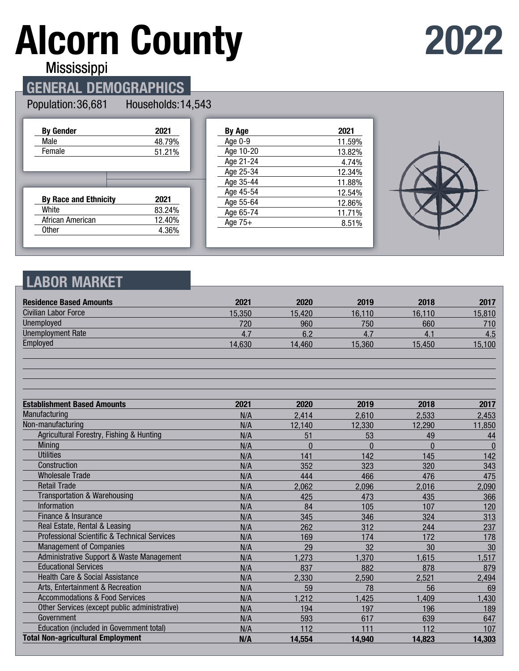# **Alcorn County**



**Mississippi** 

## **GENERAL DEMOGRAPHICS**

#### Population: 36,681

Households: 14,543

| <b>By Gender</b>             | 2021   |
|------------------------------|--------|
| Male                         | 48.79% |
| Female                       | 51.21% |
|                              |        |
|                              |        |
|                              |        |
|                              |        |
| <b>By Race and Ethnicity</b> | 2021   |
| White                        | 83.24% |
| African American             | 12.40% |

| By Age    | 2021   |
|-----------|--------|
| Age 0-9   | 11.59% |
| Age 10-20 | 13.82% |
| Age 21-24 | 4.74%  |
| Age 25-34 | 12.34% |
| Age 35-44 | 11.88% |
| Age 45-54 | 12.54% |
| Age 55-64 | 12.86% |
| Age 65-74 | 11.71% |
| Age $75+$ | 8.51%  |
|           |        |



### **LABOR MARKET**

| <b>Residence Based Amounts</b>                          | 2021   | 2020     | 2019     | 2018     | 2017         |
|---------------------------------------------------------|--------|----------|----------|----------|--------------|
| <b>Civilian Labor Force</b>                             | 15,350 | 15,420   | 16.110   | 16.110   | 15,810       |
| Unemployed                                              | 720    | 960      | 750      | 660      | 710          |
| <b>Unemployment Rate</b>                                | 4.7    | 6.2      | 4.7      | 4.1      | 4.5          |
| Employed                                                | 14,630 | 14,460   | 15,360   | 15,450   | 15,100       |
|                                                         |        |          |          |          |              |
| <b>Establishment Based Amounts</b>                      | 2021   | 2020     | 2019     | 2018     | 2017         |
| Manufacturing                                           | N/A    | 2,414    | 2,610    | 2,533    | 2,453        |
| Non-manufacturing                                       | N/A    | 12,140   | 12,330   | 12,290   | 11,850       |
| Agricultural Forestry, Fishing & Hunting                | N/A    | 51       | 53       | 49       | 44           |
| Mining                                                  | N/A    | $\Omega$ | $\Omega$ | $\Omega$ | $\mathbf{0}$ |
| <b>Utilities</b>                                        | N/A    | 141      | 142      | 145      | 142          |
| Construction                                            | N/A    | 352      | 323      | 320      | 343          |
| <b>Wholesale Trade</b>                                  | N/A    | 444      | 466      | 476      | 475          |
| <b>Retail Trade</b>                                     | N/A    | 2,062    | 2,096    | 2,016    | 2,090        |
| <b>Transportation &amp; Warehousing</b>                 | N/A    | 425      | 473      | 435      | 366          |
| Information                                             | N/A    | 84       | 105      | 107      | 120          |
| Finance & Insurance                                     | N/A    | 345      | 346      | 324      | 313          |
| Real Estate, Rental & Leasing                           | N/A    | 262      | 312      | 244      | 237          |
| <b>Professional Scientific &amp; Technical Services</b> | N/A    | 169      | 174      | 172      | 178          |
| <b>Management of Companies</b>                          | N/A    | 29       | 32       | 30       | 30           |
| Administrative Support & Waste Management               | N/A    | 1,273    | 1,370    | 1,615    | 1,517        |
| <b>Educational Services</b>                             | N/A    | 837      | 882      | 878      | 879          |
| <b>Health Care &amp; Social Assistance</b>              | N/A    | 2,330    | 2,590    | 2,521    | 2,494        |
| Arts, Entertainment & Recreation                        | N/A    | 59       | 78       | 56       | 69           |
| <b>Accommodations &amp; Food Services</b>               | N/A    | 1,212    | 1,425    | 1,409    | 1,430        |
| Other Services (except public administrative)           | N/A    | 194      | 197      | 196      | 189          |
| Government                                              | N/A    | 593      | 617      | 639      | 647          |
| Education (included in Government total)                | N/A    | 112      | 111      | 112      | 107          |
| <b>Total Non-agricultural Employment</b>                | N/A    | 14,554   | 14,940   | 14,823   | 14,303       |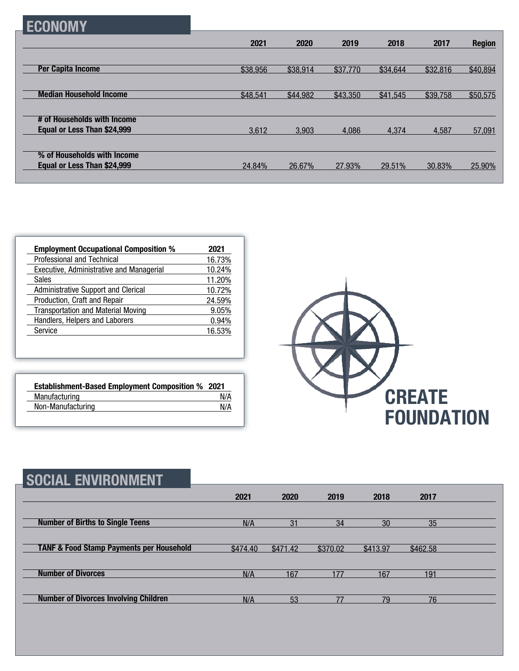|--|

|                                | 2021     | 2020     | 2019     | 2018     | 2017     | <b>Region</b> |
|--------------------------------|----------|----------|----------|----------|----------|---------------|
|                                |          |          |          |          |          |               |
| <b>Per Capita Income</b>       | \$38,956 | \$38,914 | \$37,770 | \$34,644 | \$32,816 | \$40,894      |
|                                |          |          |          |          |          |               |
| <b>Median Household Income</b> | \$48,541 | \$44,982 | \$43,350 | \$41,545 | \$39,758 | \$50,575      |
|                                |          |          |          |          |          |               |
| # of Households with Income    |          |          |          |          |          |               |
| Equal or Less Than \$24,999    | 3,612    | 3.903    | 4.086    | 4.374    | 4,587    | 57,091        |
|                                |          |          |          |          |          |               |
| % of Households with Income    |          |          |          |          |          |               |
| Equal or Less Than \$24,999    | 24.84%   | 26.67%   | 27.93%   | 29.51%   | 30.83%   | 25.90%        |
|                                |          |          |          |          |          |               |

| <b>Employment Occupational Composition %</b> | 2021   |
|----------------------------------------------|--------|
| Professional and Technical                   | 16.73% |
| Executive, Administrative and Managerial     | 10.24% |
| <b>Sales</b>                                 | 11.20% |
| Administrative Support and Clerical          | 10.72% |
| Production, Craft and Repair                 | 24.59% |
| <b>Transportation and Material Moving</b>    | 9.05%  |
| Handlers, Helpers and Laborers               | 0.94%  |
| Service                                      | 16.53% |

| <b>Establishment-Based Employment Composition % 2021</b> |     |
|----------------------------------------------------------|-----|
| Manufacturing                                            | N/A |
| Non-Manufacturing                                        | N/A |



| <b>SOCIAL ENVIRONMENT</b>                           |          |          |          |          |          |  |
|-----------------------------------------------------|----------|----------|----------|----------|----------|--|
|                                                     | 2021     | 2020     | 2019     | 2018     | 2017     |  |
| <b>Number of Births to Single Teens</b>             | N/A      | 31       | 34       | 30       | 35       |  |
| <b>TANF &amp; Food Stamp Payments per Household</b> | \$474.40 | \$471.42 | \$370.02 | \$413.97 | \$462.58 |  |
| <b>Number of Divorces</b>                           | N/A      | 167      | 177      | 167      | 191      |  |
| <b>Number of Divorces Involving Children</b>        | N/A      | 53       | 77       | 79       | 76       |  |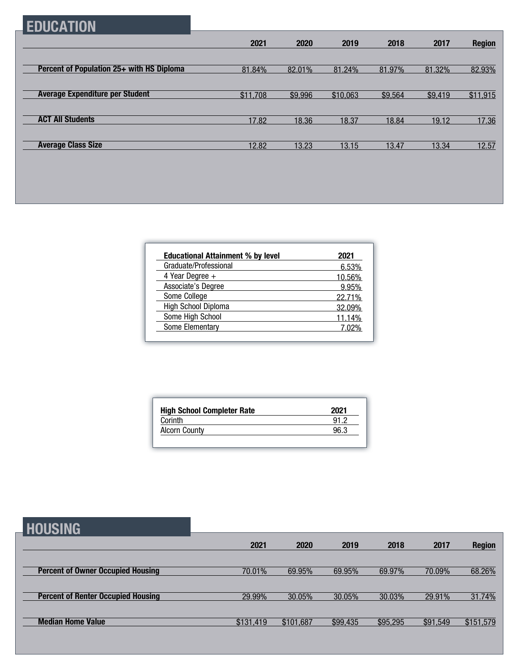## **EDUCATION**

|                                           | 2021     | 2020    | 2019     | 2018    | 2017    | <b>Region</b> |
|-------------------------------------------|----------|---------|----------|---------|---------|---------------|
|                                           |          |         |          |         |         |               |
| Percent of Population 25+ with HS Diploma | 81.84%   | 82.01%  | 81.24%   | 81.97%  | 81.32%  | 82.93%        |
|                                           |          |         |          |         |         |               |
| <b>Average Expenditure per Student</b>    | \$11,708 | \$9,996 | \$10,063 | \$9,564 | \$9,419 | \$11,915      |
|                                           |          |         |          |         |         |               |
| <b>ACT All Students</b>                   | 17.82    | 18.36   | 18.37    | 18.84   | 19.12   | 17.36         |
|                                           |          |         |          |         |         |               |
| <b>Average Class Size</b>                 | 12.82    | 13.23   | 13.15    | 13.47   | 13.34   | 12.57         |

| <b>Educational Attainment % by level</b> | 2021   |
|------------------------------------------|--------|
| Graduate/Professional                    | 6.53%  |
| 4 Year Degree +                          | 10.56% |
| Associate's Degree                       | 9.95%  |
| Some College                             | 22.71% |
| High School Diploma                      | 32.09% |
| Some High School                         | 11.14% |
| Some Elementary                          | 7 በ2%  |

| <b>High School Completer Rate</b> | 2021 |
|-----------------------------------|------|
| Corinth                           | 91 2 |
| <b>Alcorn County</b>              | 96.3 |

## **HOUSING**

| ----------                                |           |           |          |          |          |               |
|-------------------------------------------|-----------|-----------|----------|----------|----------|---------------|
|                                           | 2021      | 2020      | 2019     | 2018     | 2017     | <b>Region</b> |
|                                           |           |           |          |          |          |               |
| <b>Percent of Owner Occupied Housing</b>  | 70.01%    | 69.95%    | 69.95%   | 69.97%   | 70.09%   | 68.26%        |
|                                           |           |           |          |          |          |               |
| <b>Percent of Renter Occupied Housing</b> | 29.99%    | 30.05%    | 30.05%   | 30.03%   | 29.91%   | 31.74%        |
|                                           |           |           |          |          |          |               |
| <b>Median Home Value</b>                  | \$131,419 | \$101,687 | \$99,435 | \$95,295 | \$91,549 | \$151,579     |
|                                           |           |           |          |          |          |               |